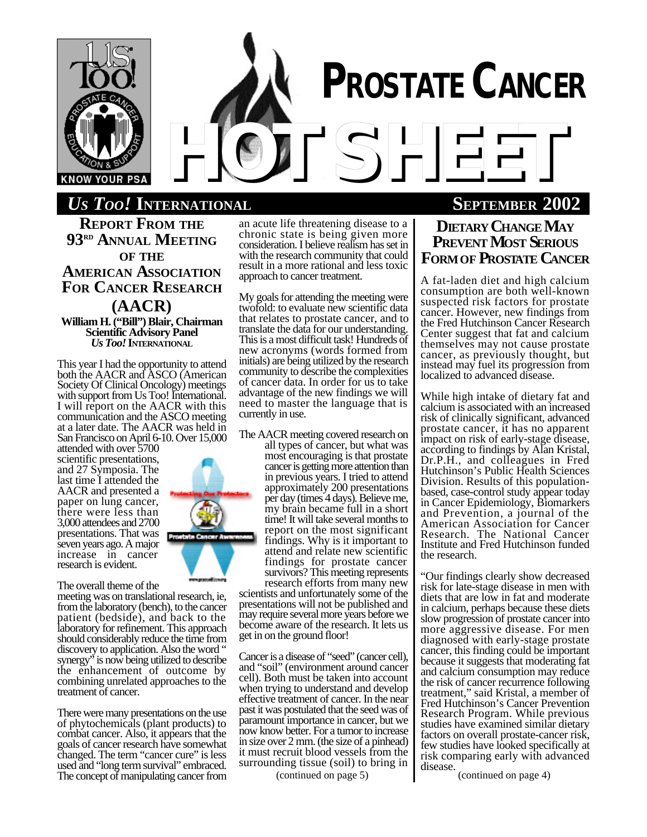

# *US TOO!* **INTERNATIONAL SEPTEMBER 2002**

**REPORT FROM THE 93RD ANNUAL MEETING OF THE AMERICAN ASSOCIATION FOR CANCER RESEARCH (AACR) William H. ("Bill") Blair, Chairman Scientific Advisory Panel** *Us Too!* **INTERNATIONAL**

This year I had the opportunity to attend both the AACR and ASCO (American Society Of Clinical Oncology) meetings with support from Us Too! International. I will report on the AACR with this communication and the ASCO meeting at a later date. The AACR was held in San Francisco on April 6-10. Over 15,000

attended with over 5700 scientific presentations, and 27 Symposia. The last time I attended the AACR and presented a paper on lung cancer, there were less than 3,000 attendees and 2700 presentations. That was seven years ago. A major increase in cancer research is evident.



The overall theme of the meeting was on translational research, ie, from the laboratory (bench), to the cancer patient (bedside), and back to the laboratory for refinement. This approach should considerably reduce the time from discovery to application. Also the word " synergy" is now being utilized to describe the enhancement of outcome by combining unrelated approaches to the treatment of cancer.

There were many presentations on the use of phytochemicals (plant products) to combat cancer. Also, it appears that the goals of cancer research have somewhat changed. The term "cancer cure" is less used and "long term survival" embraced. The concept of manipulating cancer from

an acute life threatening disease to a chronic state is being given more consideration. I believe realism has set in with the research community that could result in a more rational and less toxic approach to cancer treatment.

My goals for attending the meeting were twofold: to evaluate new scientific data that relates to prostate cancer, and to translate the data for our understanding. This is a most difficult task! Hundreds of new acronyms (words formed from initials) are being utilized by the research community to describe the complexities of cancer data. In order for us to take advantage of the new findings we will need to master the language that is currently in use.

The AACR meeting covered research on

all types of cancer, but what was most encouraging is that prostate cancer is getting more attention than in previous years. I tried to attend approximately 200 presentations per day (times 4 days). Believe me, my brain became full in a short time! It will take several months to report on the most significant findings. Why is it important to attend and relate new scientific findings for prostate cancer survivors? This meeting represents research efforts from many new

scientists and unfortunately some of the presentations will not be published and may require several more years before we become aware of the research. It lets us get in on the ground floor!

Cancer is a disease of "seed" (cancer cell), and "soil" (environment around cancer cell). Both must be taken into account when trying to understand and develop effective treatment of cancer. In the near past it was postulated that the seed was of paramount importance in cancer, but we now know better. For a tumor to increase in size over 2 mm. (the size of a pinhead) it must recruit blood vessels from the surrounding tissue (soil) to bring in

# **DIETARY CHANGE MAY PREVENT MOST SERIOUS FORMOF PROSTATE CANCER**

A fat-laden diet and high calcium consumption are both well-known suspected risk factors for prostate cancer. However, new findings from the Fred Hutchinson Cancer Research Center suggest that fat and calcium themselves may not cause prostate cancer, as previously thought, but instead may fuel its progression from localized to advanced disease.

While high intake of dietary fat and calcium is associated with an increased risk of clinically significant, advanced prostate cancer, it has no apparent impact on risk of early-stage disease, according to findings by Alan Kristal, Dr.P.H., and colleagues in Fred Hutchinson's Public Health Sciences Division. Results of this populationbased, case-control study appear today in Cancer Epidemiology, Biomarkers and Prevention, a journal of the American Association for Cancer Research. The National Cancer Institute and Fred Hutchinson funded the research.

"Our findings clearly show decreased risk for late-stage disease in men with diets that are low in fat and moderate in calcium, perhaps because these diets slow progression of prostate cancer into more aggressive disease. For men diagnosed with early-stage prostate cancer, this finding could be important because it suggests that moderating fat and calcium consumption may reduce the risk of cancer recurrence following treatment," said Kristal, a member of Fred Hutchinson's Cancer Prevention Research Program. While previous studies have examined similar dietary factors on overall prostate-cancer risk, few studies have looked specifically at risk comparing early with advanced disease.

(continued on page 5) (continued on page 4)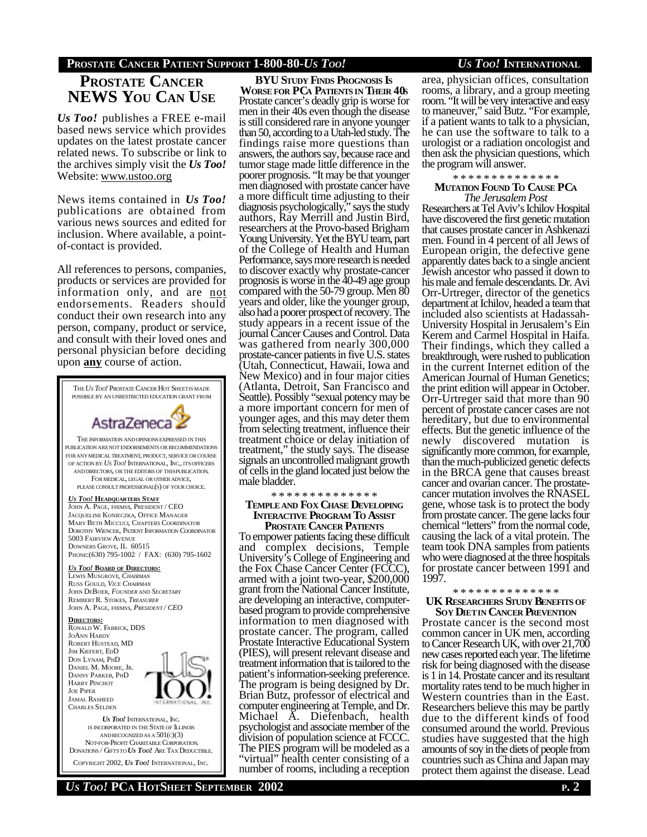# **PROSTATE CANCER PATIENT SUPPORT 1-800-80-***US TOO! US TOO!* **INTERNATIONAL**

# **PROSTATE CANCER NEWS YOU CAN USE**

*Us Too!* publishes a FREE e-mail based news service which provides updates on the latest prostate cancer related news. To subscribe or link to the archives simply visit the *Us Too!* Website: www.ustoo.org

News items contained in *Us Too!* publications are obtained from various news sources and edited for inclusion. Where available, a pointof-contact is provided.

All references to persons, companies, products or services are provided for information only, and are not endorsements. Readers should conduct their own research into any person, company, product or service, and consult with their loved ones and personal physician before deciding upon **any** course of action.



COPYRIGHT 2002, *US TOO!* INTERNATIONAL, INC.

**BYU STUDY FINDS PROGNOSIS IS WORSE FOR PCA PATIENTS IN THEIR 40S** Prostate cancer's deadly grip is worse for men in their 40s even though the disease is still considered rare in anyone younger than 50, according to a Utah-led study. The findings raise more questions than answers, the authors say, because race and tumor stage made little difference in the poorer prognosis. "It may be that younger men diagnosed with prostate cancer have a more difficult time adjusting to their diagnosis psychologically," says the study authors, Ray Merrill and Justin Bird, researchers at the Provo-based Brigham Young University. Yet the BYU team, part of the College of Health and Human Performance, says more research is needed to discover exactly why prostate-cancer prognosis is worse in the 40-49 age group compared with the 50-79 group. Men 80 years and older, like the younger group, also had a poorer prospect of recovery. The study appears in a recent issue of the journal Cancer Causes and Control. Data was gathered from nearly 300,000 prostate-cancer patients in five U.S. states (Utah, Connecticut, Hawaii, Iowa and New Mexico) and in four major cities (Atlanta, Detroit, San Francisco and Seattle). Possibly "sexual potency may be a more important concern for men of younger ages, and this may deter them from selecting treatment, influence their treatment choice or delay initiation of treatment," the study says. The disease signals an uncontrolled malignant growth of cells in the gland located just below the male bladder.

### \* \* \* \* \* \* \* \* \* \* \* \* \* \*

## **TEMPLE AND FOX CHASE DEVELOPING INTERACTIVE PROGRAM TO ASSIST PROSTATE CANCER PATIENTS**

To empower patients facing these difficult and complex decisions, Temple University's College of Engineering and the Fox Chase Cancer Center (FCCC), armed with a joint two-year, \$200,000 grant from the National Cancer Institute, are developing an interactive, computerbased program to provide comprehensive information to men diagnosed with prostate cancer. The program, called Prostate Interactive Educational System (PIES), will present relevant disease and treatment information that is tailored to the patient's information-seeking preference. The program is being designed by Dr. Brian Butz, professor of electrical and computer engineering at Temple, and Dr. Michael A. Diefenbach, health psychologist and associate member of the division of population science at FCCC. The PIES program will be modeled as a "virtual" health center consisting of a number of rooms, including a reception

area, physician offices, consultation rooms, a library, and a group meeting room. "It will be very interactive and easy to maneuver," said Butz. "For example, if a patient wants to talk to a physician, he can use the software to talk to a urologist or a radiation oncologist and then ask the physician questions, which the program will answer.

## \* \* \* \* \* \* \* \* \* \* \* \* \* \*

## **MUTATION FOUND TO CAUSE PCA** *The Jerusalem Post*

Researchers at Tel Aviv's Ichilov Hospital have discovered the first genetic mutation that causes prostate cancer in Ashkenazi men. Found in 4 percent of all Jews of European origin, the defective gene apparently dates back to a single ancient Jewish ancestor who passed it down to his male and female descendants. Dr. Avi Orr-Urtreger, director of the genetics department at Ichilov, headed a team that included also scientists at Hadassah-University Hospital in Jerusalem's Ein Kerem and Carmel Hospital in Haifa. Their findings, which they called a breakthrough, were rushed to publication in the current Internet edition of the American Journal of Human Genetics; the print edition will appear in October. Orr-Urtreger said that more than 90 percent of prostate cancer cases are not hereditary, but due to environmental effects. But the genetic influence of the newly discovered mutation is significantly more common, for example, than the much-publicized genetic defects in the BRCA gene that causes breast cancer and ovarian cancer. The prostatecancer mutation involves the RNASEL gene, whose task is to protect the body from prostate cancer. The gene lacks four chemical "letters" from the normal code, causing the lack of a vital protein. The team took DNA samples from patients who were diagnosed at the three hospitals for prostate cancer between 1991 and 1997.

## \* \* \* \* \* \* \* \* \* \* \* \* \* \* **UK RESEARCHERS STUDY BENEFITS OF SOY DIETIN CANCER PREVENTION**

Prostate cancer is the second most common cancer in UK men, according to Cancer Research UK, with over 21,700 new cases reported each year. The lifetime risk for being diagnosed with the disease is 1 in 14. Prostate cancer and its resultant mortality rates tend to be much higher in Western countries than in the East. Researchers believe this may be partly due to the different kinds of food consumed around the world. Previous studies have suggested that the high amounts of soy in the diets of people from countries such as China and Japan may protect them against the disease. Lead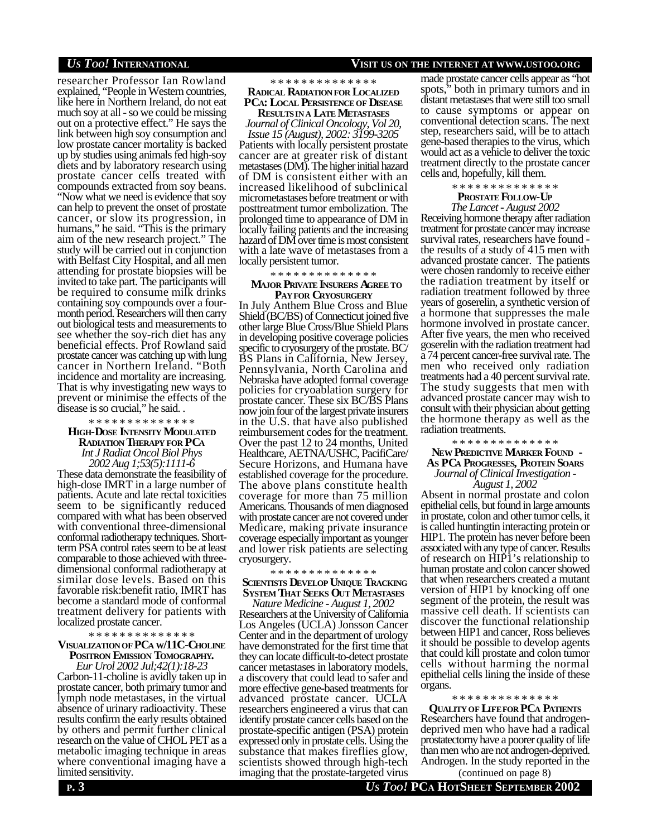## *US TOO!* **INTERNATIONAL VISIT US ON THE INTERNET AT WWW.USTOO.ORG**

researcher Professor Ian Rowland explained, "People in Western countries, like here in Northern Ireland, do not eat much soy at all - so we could be missing out on a protective effect." He says the link between high soy consumption and low prostate cancer mortality is backed up by studies using animals fed high-soy diets and by laboratory research using prostate cancer cells treated with compounds extracted from soy beans. "Now what we need is evidence that soy can help to prevent the onset of prostate cancer, or slow its progression, in humans," he said. "This is the primary aim of the new research project." The study will be carried out in conjunction with Belfast City Hospital, and all men attending for prostate biopsies will be invited to take part. The participants will be required to consume milk drinks containing soy compounds over a fourmonth period. Researchers will then carry out biological tests and measurements to see whether the soy-rich diet has any beneficial effects. Prof Rowland said prostate cancer was catching up with lung cancer in Northern Ireland. "Both incidence and mortality are increasing. That is why investigating new ways to prevent or minimise the effects of the disease is so crucial," he said. .

### \* \* \* \* \* \* \* \* \* \* \* \* \* \*

## **HIGH-DOSE INTENSITY MODULATED RADIATION THERAPY FOR PCA**

*Int J Radiat Oncol Biol Phys 2002 Aug 1;53(5):1111-6*

These data demonstrate the feasibility of high-dose IMRT in a large number of patients. Acute and late rectal toxicities seem to be significantly reduced compared with what has been observed with conventional three-dimensional conformal radiotherapy techniques. Shortterm PSA control rates seem to be at least comparable to those achieved with threedimensional conformal radiotherapy at similar dose levels. Based on this favorable risk:benefit ratio, IMRT has become a standard mode of conformal treatment delivery for patients with localized prostate cancer.

### \* \* \* \* \* \* \* \* \* \* \* \* \* \*

## **VISUALIZATIONOF PCA W/11C-CHOLINE POSITRON EMISSION TOMOGRAPHY.**

*Eur Urol 2002 Jul;42(1):18-23* Carbon-11-choline is avidly taken up in prostate cancer, both primary tumor and lymph node metastases, in the virtual absence of urinary radioactivity. These results confirm the early results obtained by others and permit further clinical research on the value of CHOL PET as a metabolic imaging technique in areas where conventional imaging have a limited sensitivity.

**RESULTSIN A LATE METASTASES** *Journal of Clinical Oncology, Vol 20, Issue 15 (August), 2002: 3199-3205* Patients with locally persistent prostate cancer are at greater risk of distant metastases (DM). The higher initial hazard of DM is consistent either with an increased likelihood of subclinical micrometastases before treatment or with posttreatment tumor embolization. The prolonged time to appearance of DM in locally failing patients and the increasing hazard of DM over time is most consistent with a late wave of metastases from a locally persistent tumor.

### \* \* \* \* \* \* \* \* \* \* \* \* \* \*

## **MAJOR PRIVATE INSURERS AGREE TO PAYFOR CRYOSURGERY**

In July Anthem Blue Cross and Blue Shield (BC/BS) of Connecticut joined five other large Blue Cross/Blue Shield Plans in developing positive coverage policies specific to cryosurgery of the prostate. BC/ BS Plans in California, New Jersey, Pennsylvania, North Carolina and Nebraska have adopted formal coverage policies for cryoablation surgery for prostate cancer. These six BC/BS Plans now join four of the largest private insurers in the U.S. that have also published reimbursement codes for the treatment. Over the past 12 to 24 months, United Healthcare, AETNA/USHC, PacifiCare/ Secure Horizons, and Humana have established coverage for the procedure. The above plans constitute health coverage for more than 75 million Americans. Thousands of men diagnosed with prostate cancer are not covered under Medicare, making private insurance coverage especially important as younger and lower risk patients are selecting cryosurgery.

## \* \* \* \* \* \* \* \* \* \* \* \* \* \*  **SCIENTISTS DEVELOP UNIQUE TRACKING SYSTEM THAT SEEKS OUT METASTASES**

*Nature Medicine - August 1, 2002* Researchers at the University of California Los Angeles (UCLA) Jonsson Cancer Center and in the department of urology have demonstrated for the first time that they can locate difficult-to-detect prostate cancer metastases in laboratory models, a discovery that could lead to safer and more effective gene-based treatments for advanced prostate cancer. UCLA researchers engineered a virus that can identify prostate cancer cells based on the prostate-specific antigen (PSA) protein expressed only in prostate cells. Using the substance that makes fireflies glow, scientists showed through high-tech imaging that the prostate-targeted virus

made prostate cancer cells appear as "hot spots," both in primary tumors and in distant metastases that were still too small to cause symptoms or appear on conventional detection scans. The next step, researchers said, will be to attach gene-based therapies to the virus, which would act as a vehicle to deliver the toxic treatment directly to the prostate cancer cells and, hopefully, kill them.

### \* \* \* \* \* \* \* \* \* \* \* \* \* \* **PROSTATE FOLLOW-UP**

# *The Lancet - August 2002*

Receiving hormone therapy after radiation treatment for prostate cancer may increase survival rates, researchers have found the results of a study of 415 men with advanced prostate cancer. The patients were chosen randomly to receive either the radiation treatment by itself or radiation treatment followed by three years of goserelin, a synthetic version of a hormone that suppresses the male hormone involved in prostate cancer. After five years, the men who received goserelin with the radiation treatment had a 74 percent cancer-free survival rate. The men who received only radiation treatments had a 40 percent survival rate. The study suggests that men with advanced prostate cancer may wish to consult with their physician about getting the hormone therapy as well as the radiation treatments.

\* \* \* \* \* \* \* \* \* \* \* \* \* \*  **NEW PREDICTIVE MARKER FOUND - AS PCA PROGRESSES, PROTEIN SOARS** *Journal of Clinical Investigation - August 1, 2002*

Absent in normal prostate and colon epithelial cells, but found in large amounts in prostate, colon and other tumor cells, it is called huntingtin interacting protein or HIP1. The protein has never before been associated with any type of cancer. Results of research on HIP1's relationship to human prostate and colon cancer showed that when researchers created a mutant version of HIP1 by knocking off one segment of the protein, the result was massive cell death. If scientists can discover the functional relationship between HIP1 and cancer, Ross believes it should be possible to develop agents that could kill prostate and colon tumor cells without harming the normal epithelial cells lining the inside of these organs.

### \* \* \* \* \* \* \* \* \* \* \* \* \* \*

**QUALITY OF LIFEFOR PCA PATIENTS** Researchers have found that androgendeprived men who have had a radical prostatectomy have a poorer quality of life than men who are not androgen-deprived. Androgen. In the study reported in the

(continued on page 8)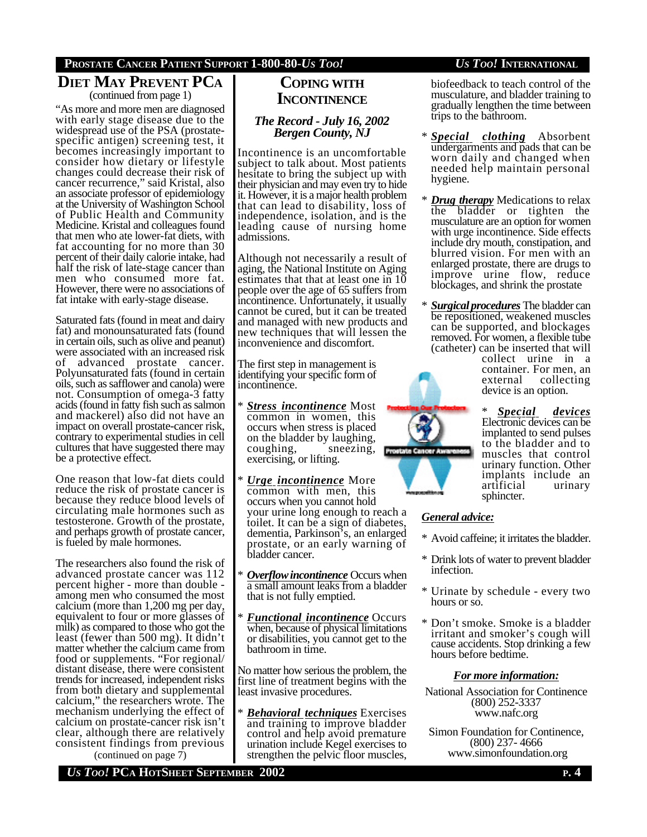# **PROSTATE CANCER PATIENT SUPPORT 1-800-80-***US TOO! US TOO!* **INTERNATIONAL**

# **DIET MAY PREVENT PCA** (continued from page 1)

"As more and more men are diagnosed with early stage disease due to the widespread use of the PSA (prostatespecific antigen) screening test, it becomes increasingly important to consider how dietary or lifestyle changes could decrease their risk of cancer recurrence," said Kristal, also an associate professor of epidemiology at the University of Washington School of Public Health and Community Medicine. Kristal and colleagues found that men who ate lower-fat diets, with fat accounting for no more than 30 percent of their daily calorie intake, had half the risk of late-stage cancer than men who consumed more fat. However, there were no associations of fat intake with early-stage disease.

Saturated fats (found in meat and dairy fat) and monounsaturated fats (found in certain oils, such as olive and peanut) were associated with an increased risk of advanced prostate cancer. Polyunsaturated fats (found in certain oils, such as safflower and canola) were not. Consumption of omega-3 fatty acids (found in fatty fish such as salmon and mackerel) also did not have an impact on overall prostate-cancer risk, contrary to experimental studies in cell cultures that have suggested there may be a protective effect.

One reason that low-fat diets could reduce the risk of prostate cancer is because they reduce blood levels of circulating male hormones such as testosterone. Growth of the prostate, and perhaps growth of prostate cancer, is fueled by male hormones.

The researchers also found the risk of advanced prostate cancer was 112 percent higher - more than double among men who consumed the most calcium (more than 1,200 mg per day, equivalent to four or more glasses of milk) as compared to those who got the least (fewer than 500 mg). It didn't matter whether the calcium came from food or supplements. "For regional/ distant disease, there were consistent trends for increased, independent risks from both dietary and supplemental calcium," the researchers wrote. The mechanism underlying the effect of calcium on prostate-cancer risk isn't clear, although there are relatively consistent findings from previous

(continued on page 7)

# **COPING WITH INCONTINENCE**

## *The Record - July 16, 2002 Bergen County, NJ*

Incontinence is an uncomfortable subject to talk about. Most patients hesitate to bring the subject up with their physician and may even try to hide it. However, it is a major health problem that can lead to disability, loss of independence, isolation, and is the leading cause of nursing home admissions.

Although not necessarily a result of aging, the National Institute on Aging estimates that that at least one in  $10$ people over the age of 65 suffers from incontinence. Unfortunately, it usually cannot be cured, but it can be treated and managed with new products and new techniques that will lessen the inconvenience and discomfort.

The first step in management is identifying your specific form of incontinence.

- *Stress incontinence* Most common in women, this occurs when stress is placed on the bladder by laughing, coughing, sneezing, exercising, or lifting.
- \* *Urge incontinence* More common with men, this occurs when you cannot hold your urine long enough to reach a toilet. It can be a sign of diabetes, dementia, Parkinson's, an enlarged prostate, or an early warning of bladder cancer.
- \* *Overflowincontinence* Occurs when a small amount leaks from a bladder that is not fully emptied.
- *Functional incontinence* Occurs when, because of physical limitations or disabilities, you cannot get to the bathroom in time.

No matter how serious the problem, the first line of treatment begins with the least invasive procedures.

*Behavioral techniques* Exercises and training to improve bladder control and help avoid premature urination include Kegel exercises to strengthen the pelvic floor muscles,

biofeedback to teach control of the musculature, and bladder training to gradually lengthen the time between trips to the bathroom.

- \* *Special clothing* Absorbent undergarments and pads that can be worn daily and changed when needed help maintain personal hygiene.
- \* *Drug therapy* Medications to relax the bladder or tighten the musculature are an option for women with urge incontinence. Side effects include dry mouth, constipation, and blurred vision. For men with an enlarged prostate, there are drugs to improve urine flow, reduce blockages, and shrink the prostate
- \* *Surgical procedures* The bladder can be repositioned, weakened muscles can be supported, and blockages removed. For women, a flexible tube (catheter) can be inserted that will

collect urine in a container. For men, an<br>external collecting collecting device is an option.

 $Special$  *devices* Electronic devices can be implanted to send pulses to the bladder and to muscles that control urinary function. Other implants include an artificial urinary sphincter.

## *General advice:*

**Prostate Cancer Am** 

- \* Avoid caffeine; it irritates the bladder.
- \* Drink lots of water to prevent bladder infection.
- \* Urinate by schedule every two hours or so.
- \* Don't smoke. Smoke is a bladder irritant and smoker's cough will cause accidents. Stop drinking a few hours before bedtime.

## *For more information:*

- National Association for Continence (800) 252-3337 www.nafc.org
- Simon Foundation for Continence, (800) 237- 4666 www.simonfoundation.org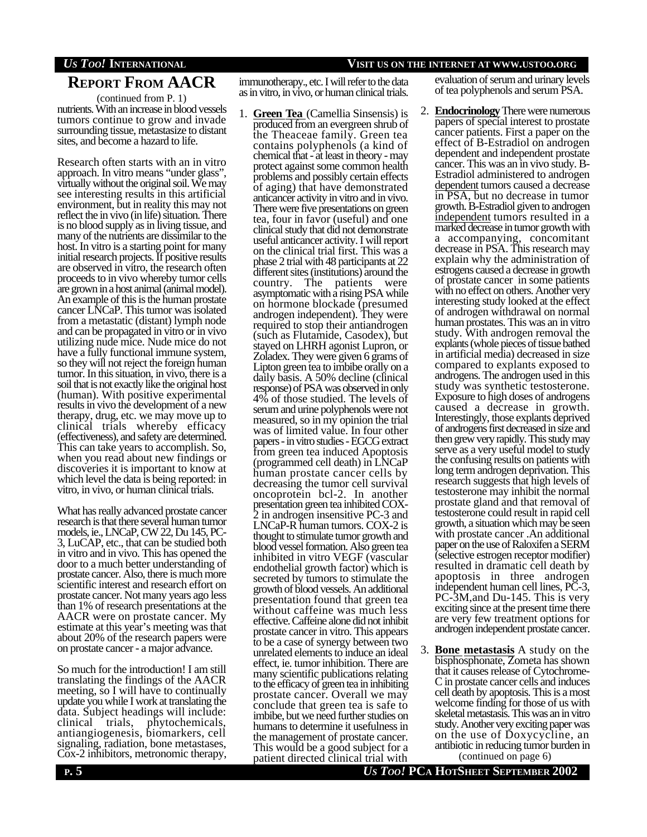# *US TOO!* **INTERNATIONAL VISIT US ON THE INTERNET AT WWW.USTOO.ORG**

# **REPORT FROM AACR**

(continued from P. 1)

nutrients. With an increase in blood vessels tumors continue to grow and invade surrounding tissue, metastasize to distant sites, and become a hazard to life.

Research often starts with an in vitro approach. In vitro means "under glass", virtually without the original soil. We may see interesting results in this artificial environment, but in reality this may not reflect the in vivo (in life) situation. There is no blood supply as in living tissue, and many of the nutrients are dissimilar to the host. In vitro is a starting point for many initial research projects. If positive results are observed in vitro, the research often proceeds to in vivo whereby tumor cells are grown in a host animal (animal model). An example of this is the human prostate cancer LNCaP. This tumor was isolated from a metastatic (distant) lymph node and can be propagated in vitro or in vivo utilizing nude mice. Nude mice do not have a fully functional immune system, so they will not reject the foreign human tumor. In this situation, in vivo, there is a soil that is not exactly like the original host (human). With positive experimental results in vivo the development of a new therapy, drug, etc. we may move up to clinical trials whereby efficacy (effectiveness), and safety are determined. This can take years to accomplish. So, when you read about new findings or discoveries it is important to know at which level the data is being reported: in vitro, in vivo, or human clinical trials.

What has really advanced prostate cancer research is that there several human tumor models, ie., LNCaP, CW 22, Du 145, PC-3, LuCAP, etc., that can be studied both in vitro and in vivo. This has opened the door to a much better understanding of prostate cancer. Also, there is much more scientific interest and research effort on prostate cancer. Not many years ago less than 1% of research presentations at the AACR were on prostate cancer. My estimate at this year's meeting was that about 20% of the research papers were on prostate cancer - a major advance.

So much for the introduction! I am still translating the findings of the AACR meeting, so I will have to continually update you while I work at translating the data. Subject headings will include: clinical trials, phytochemicals, antiangiogenesis, biomarkers, cell signaling, radiation, bone metastases, Cox-2 inhibitors, metronomic therapy,

immunotherapy., etc. I will refer to the data as in vitro, in vivo, or human clinical trials.

1. **Green Tea** (Camellia Sinsensis) is produced from an evergreen shrub of the Theaceae family. Green tea contains polyphenols (a kind of chemical that - at least in theory - may protect against some common health problems and possibly certain effects of aging) that have demonstrated anticancer activity in vitro and in vivo. There were five presentations on green tea, four in favor (useful) and one clinical study that did not demonstrate useful anticancer activity. I will report on the clinical trial first. This was a phase 2 trial with 48 participants at 22 different sites (institutions) around the country. The patients were asymptomatic with a rising PSA while on hormone blockade (presumed androgen independent). They were required to stop their antiandrogen (such as Flutamide, Casodex), but stayed on LHRH agonist Lupron, or Zoladex. They were given 6 grams of Lipton green tea to imbibe orally on a daily basis. A 50% decline (clinical response) of PSA was observed in only 4% of those studied. The levels of serum and urine polyphenols were not measured, so in my opinion the trial was of limited value. In four other papers - in vitro studies - EGCG extract from green tea induced Apoptosis (programmed cell death) in LNCaP human prostate cancer cells by decreasing the tumor cell survival oncoprotein bcl-2. In another presentation green tea inhibited COX-2 in androgen insensitive PC-3 and LNCaP-R human tumors. COX-2 is thought to stimulate tumor growth and blood vessel formation. Also green tea inhibited in vitro VEGF (vascular endothelial growth factor) which is secreted by tumors to stimulate the growth of blood vessels. An additional presentation found that green tea without caffeine was much less effective. Caffeine alone did not inhibit prostate cancer in vitro. This appears to be a case of synergy between two unrelated elements to induce an ideal effect, ie. tumor inhibition. There are many scientific publications relating to the efficacy of green tea in inhibiting prostate cancer. Overall we may conclude that green tea is safe to imbibe, but we need further studies on humans to determine it usefulness in the management of prostate cancer. This would be a good subject for a patient directed clinical trial with

evaluation of serum and urinary levels of tea polyphenols and serum PSA.

- 2. **Endocrinology** There were numerous papers of special interest to prostate cancer patients. First a paper on the effect of B-Estradiol on androgen dependent and independent prostate cancer. This was an in vivo study. B-Estradiol administered to androgen dependent tumors caused a decrease in PSA, but no decrease in tumor growth. B-Estradiol given to androgen independent tumors resulted in a marked decrease in tumor growth with a accompanying, concomitant decrease in PSA. This research may explain why the administration of estrogens caused a decrease in growth of prostate cancer in some patients with no effect on others. Another very interesting study looked at the effect of androgen withdrawal on normal human prostates. This was an in vitro study. With androgen removal the explants (whole pieces of tissue bathed in artificial media) decreased in size compared to explants exposed to androgens. The androgen used in this study was synthetic testosterone. Exposure to high doses of androgens caused a decrease in growth. Interestingly, those explants deprived of androgens first decreased in size and then grew very rapidly. This study may serve as a very useful model to study the confusing results on patients with long term androgen deprivation. This research suggests that high levels of testosterone may inhibit the normal prostate gland and that removal of testosterone could result in rapid cell growth, a situation which may be seen with prostate cancer .An additional paper on the use of Raloxifen a SERM (selective estrogen receptor modifier) resulted in dramatic cell death by apoptosis in three androgen independent human cell lines, PC-3, PC-3M,and Du-145. This is very exciting since at the present time there are very few treatment options for androgen independent prostate cancer.
- 3. **Bone metastasis** A study on the bisphosphonate, Zometa has shown that it causes release of Cytochrome-C in prostate cancer cells and induces cell death by apoptosis. This is a most welcome finding for those of us with skeletal metastasis. This was an in vitro study. Another very exciting paper was on the use of Doxycycline, an antibiotic in reducing tumor burden in

(continued on page 6)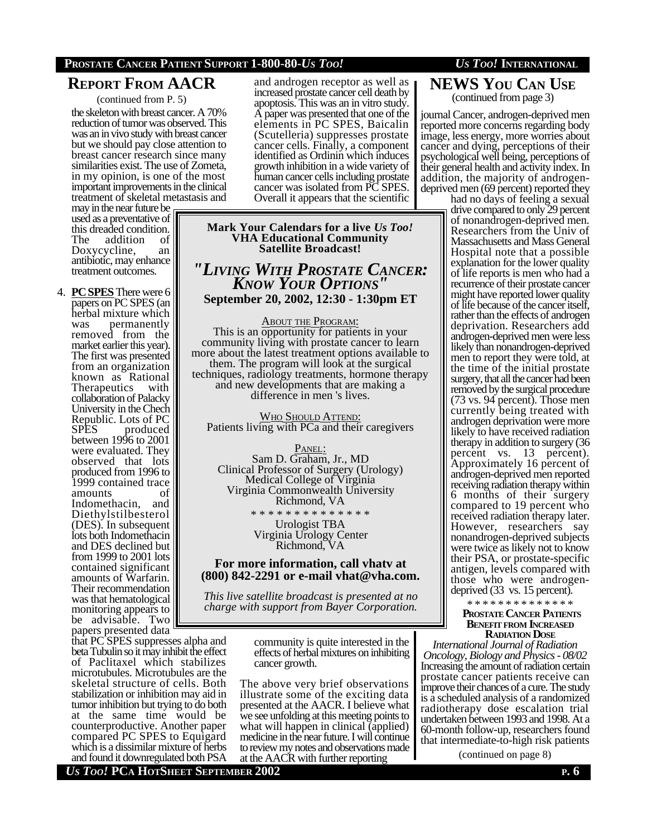# **PROSTATE CANCER PATIENT SUPPORT 1-800-80-***US TOO! US TOO!* **INTERNATIONAL**

# **REPORT FROM AACR**

(continued from P. 5)

the skeleton with breast cancer. A 70% reduction of tumor was observed. This was an in vivo study with breast cancer but we should pay close attention to breast cancer research since many similarities exist. The use of Zometa, in my opinion, is one of the most important improvements in the clinical treatment of skeletal metastasis and

may in the near future be used as a preventative of this dreaded condition.<br>The addition of addition Doxycycline, an antibiotic, may enhance treatment outcomes.

4. **PCSPES** There were 6 papers on PC SPES (an herbal mixture which was permanently removed from the market earlier this year). The first was presented from an organization known as Rational<br>Therapeutics with Therapeutics collaboration of Palacky University in the Chech Republic. Lots of PC SPES produced between 1996 to 2001 were evaluated. They observed that lots produced from 1996 to 1999 contained trace amounts of Indomethacin, and Diethylstilbesterol (DES). In subsequent lots both Indomethacin and DES declined but from 1999 to 2001 lots contained significant amounts of Warfarin. Their recommendation was that hematological monitoring appears to be advisable. Two papers presented data

that PC SPES suppresses alpha and beta Tubulin so it may inhibit the effect of Paclitaxel which stabilizes microtubules. Microtubules are the skeletal structure of cells. Both stabilization or inhibition may aid in tumor inhibition but trying to do both at the same time would be counterproductive. Another paper compared PC SPES to Equigard which is a dissimilar mixture of herbs and found it downregulated both PSA

and androgen receptor as well as increased prostate cancer cell death by apoptosis. This was an in vitro study. A paper was presented that one of the elements in PC SPES, Baicalin (Scutelleria) suppresses prostate cancer cells. Finally, a component identified as Ordinin which induces growth inhibition in a wide variety of human cancer cells including prostate cancer was isolated from PC SPES. Overall it appears that the scientific

**Mark Your Calendars for a live** *Us Too!* **VHA Educational Community Satellite Broadcast!**

*"LIVING WITH PROSTATE CANCER: KNOW YOUR OPTIONS"* **September 20, 2002, 12:30 - 1:30pm ET**

ABOUT THE PROGRAM: This is an opportunity for patients in your community living with prostate cancer to learn more about the latest treatment options available to them. The program will look at the surgical techniques, radiology treatments, hormone therapy and new developments that are making a difference in men 's lives.

WHO SHOULD ATTEND: Patients living with PCa and their caregivers

PANEL: Sam D. Graham, Jr., MD Clinical Professor of Surgery (Urology) Medical College of Virginia Virginia Commonwealth University Richmond, VA

\* \* \* \* \* \* \* \* \* \* \* \* \* \* Urologist TBA Virginia Urology Center Richmond, VA

## **For more information, call vhatv at (800) 842-2291 or e-mail vhat@vha.com.**

*This live satellite broadcast is presented at no charge with support from Bayer Corporation.*

> community is quite interested in the effects of herbal mixtures on inhibiting cancer growth.

The above very brief observations illustrate some of the exciting data presented at the AACR. I believe what we see unfolding at this meeting points to what will happen in clinical (applied) medicine in the near future. I will continue to review my notes and observations made at the AACR with further reporting

## **NEWS YOU CAN USE** (continued from page 3)

journal Cancer, androgen-deprived men reported more concerns regarding body image, less energy, more worries about cancer and dying, perceptions of their psychological well being, perceptions of their general health and activity index. In addition, the majority of androgendeprived men (69 percent) reported they

had no days of feeling a sexual drive compared to only 29 percent of nonandrogen-deprived men. Researchers from the Univ of Massachusetts and Mass General Hospital note that a possible explanation for the lower quality of life reports is men who had a recurrence of their prostate cancer might have reported lower quality of life because of the cancer itself, rather than the effects of androgen deprivation. Researchers add androgen-deprived men were less likely than nonandrogen-deprived men to report they were told, at the time of the initial prostate surgery, that all the cancer had been removed by the surgical procedure (73 vs. 94 percent). Those men currently being treated with androgen deprivation were more likely to have received radiation therapy in addition to surgery (36 percent vs. 13 percent). Approximately 16 percent of androgen-deprived men reported receiving radiation therapy within 6 months of their surgery compared to 19 percent who received radiation therapy later. However, researchers say nonandrogen-deprived subjects were twice as likely not to know their PSA, or prostate-specific antigen, levels compared with those who were androgendeprived (33 vs. 15 percent).

\* \* \* \* \* \* \* \* \* \* \* \* \* \*  **PROSTATE CANCER PATIENTS BENEFIT FROM INCREASED**

**RADIATION DOSE**

*International Journal of Radiation Oncology, Biology and Physics - 08/02* Increasing the amount of radiation certain prostate cancer patients receive can improve their chances of a cure. The study is a scheduled analysis of a randomized radiotherapy dose escalation trial undertaken between 1993 and 1998. At a 60-month follow-up, researchers found that intermediate-to-high risk patients

(continued on page 8)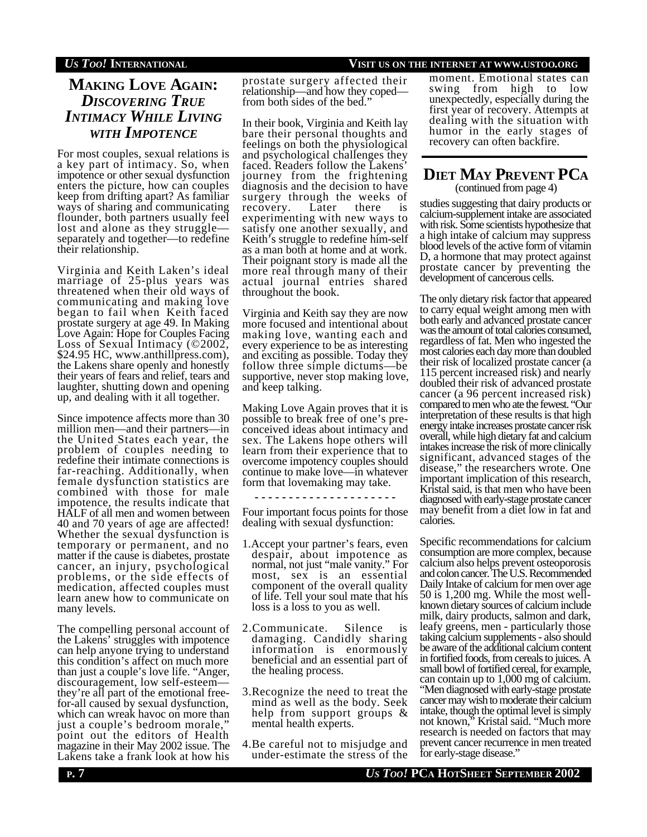# *US TOO!* **INTERNATIONAL VISIT US ON THE INTERNET AT WWW.USTOO.ORG**

# **MAKING LOVE AGAIN:** *DISCOVERING TRUE INTIMACY WHILE LIVING WITH IMPOTENCE*

For most couples, sexual relations is a key part of intimacy. So, when impotence or other sexual dysfunction enters the picture, how can couples keep from drifting apart? As familiar ways of sharing and communicating flounder, both partners usually feel lost and alone as they struggle separately and together—to redefine their relationship.

Virginia and Keith Laken's ideal marriage of 25-plus years was threatened when their old ways of communicating and making love began to fail when Keith faced prostate surgery at age 49. In Making Love Again: Hope for Couples Facing Loss of Sexual Intimacy  $(©2002,$ \$24.95 HC, www.anthillpress.com), the Lakens share openly and honestly their years of fears and relief, tears and laughter, shutting down and opening up, and dealing with it all together.

Since impotence affects more than 30 million men—and their partners—in the United States each year, the problem of couples needing to redefine their intimate connections is far-reaching. Additionally, when female dysfunction statistics are combined with those for male impotence, the results indicate that HALF of all men and women between 40 and 70 years of age are affected! Whether the sexual dysfunction is temporary or permanent, and no matter if the cause is diabetes, prostate cancer, an injury, psychological problems, or the side effects of medication, affected couples must learn anew how to communicate on many levels.

The compelling personal account of the Lakens' struggles with impotence can help anyone trying to understand this condition's affect on much more than just a couple's love life. "Anger, discouragement, low self-esteem they're all part of the emotional freefor-all caused by sexual dysfunction, which can wreak havoc on more than just a couple's bedroom morale, point out the editors of Health magazine in their May 2002 issue. The Lakens take a frank look at how his

prostate surgery affected their relationship—and how they coped from both sides of the bed."

In their book, Virginia and Keith lay bare their personal thoughts and feelings on both the physiological and psychological challenges they faced. Readers follow the Lakens' journey from the frightening diagnosis and the decision to have surgery through the weeks of recovery. Later there is experimenting with new ways to satisfy one another sexually, and Keith's struggle to redefine him-self as a man both at home and at work. Their poignant story is made all the more real through many of their actual journal entries shared throughout the book.

Virginia and Keith say they are now more focused and intentional about making love, wanting each and every experience to be as interesting and exciting as possible. Today they follow three simple dictums—be supportive, never stop making love, and keep talking.

Making Love Again proves that it is possible to break free of one's preconceived ideas about intimacy and sex. The Lakens hope others will learn from their experience that to overcome impotency couples should continue to make love—in whatever form that lovemaking may take.

**- - - - - - - - - - - - - - - - - - - - -**

Four important focus points for those dealing with sexual dysfunction:

- 1.Accept your partner's fears, even despair, about impotence as normal, not just "male vanity." For most, sex is an essential component of the overall quality of life. Tell your soul mate that his loss is a loss to you as well.
- 2.Communicate. Silence is damaging. Candidly sharing information is enormously beneficial and an essential part of the healing process.
- 3.Recognize the need to treat the mind as well as the body. Seek help from support groups & mental health experts.
- 4.Be careful not to misjudge and under-estimate the stress of the

moment. Emotional states can swing from high to low unexpectedly, especially during the first year of recovery. Attempts at dealing with the situation with humor in the early stages of recovery can often backfire.

# **DIET MAY PREVENT PCA** (continued from page 4)

studies suggesting that dairy products or calcium-supplement intake are associated with risk. Some scientists hypothesize that a high intake of calcium may suppress blood levels of the active form of vitamin D, a hormone that may protect against prostate cancer by preventing the development of cancerous cells.

The only dietary risk factor that appeared to carry equal weight among men with both early and advanced prostate cancer was the amount of total calories consumed, regardless of fat. Men who ingested the most calories each day more than doubled their risk of localized prostate cancer (a 115 percent increased risk) and nearly doubled their risk of advanced prostate cancer (a 96 percent increased risk) compared to men who ate the fewest. "Our interpretation of these results is that high energy intake increases prostate cancer risk overall, while high dietary fat and calcium intakes increase the risk of more clinically significant, advanced stages of the disease," the researchers wrote. One important implication of this research, Kristal said, is that men who have been diagnosed with early-stage prostate cancer may benefit from a diet low in fat and calories.

Specific recommendations for calcium consumption are more complex, because calcium also helps prevent osteoporosis and colon cancer. The U.S. Recommended Daily Intake of calcium for men over age 50 is 1,200 mg. While the most wellknown dietary sources of calcium include milk, dairy products, salmon and dark, leafy greens, men - particularly those taking calcium supplements - also should be aware of the additional calcium content in fortified foods, from cereals to juices. A small bowl of fortified cereal, for example, can contain up to 1,000 mg of calcium. "Men diagnosed with early-stage prostate cancer may wish to moderate their calcium intake, though the optimal level is simply not known," Kristal said. "Much more research is needed on factors that may prevent cancer recurrence in men treated for early-stage disease."